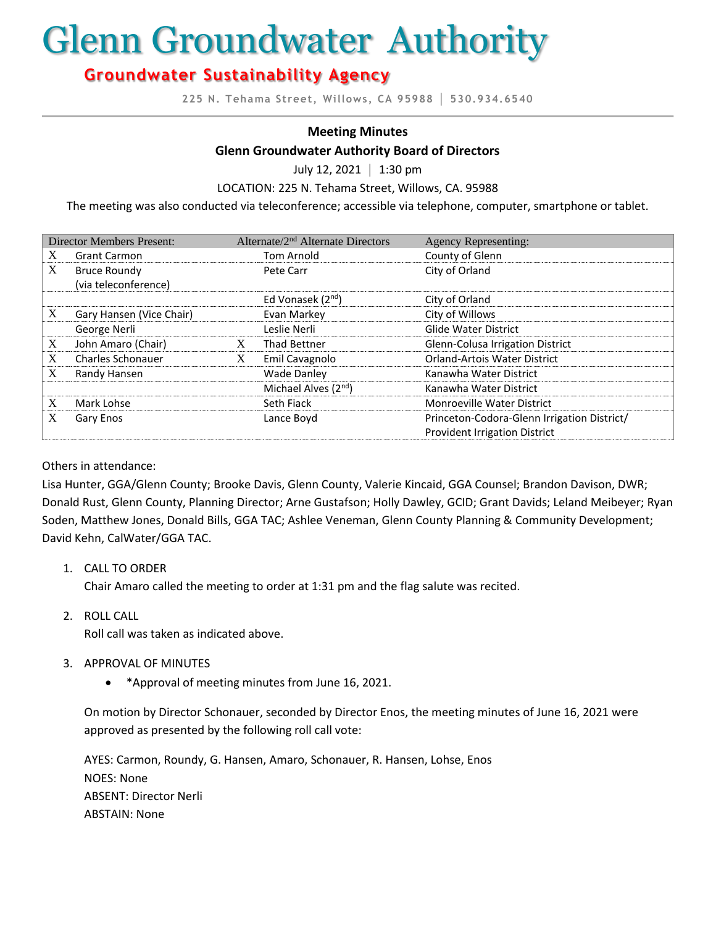# Glenn Groundwater Authority

# **Groundwater Sustainability Agency**

**225 N. Tehama Street, Willows, CA 95988 │ 530.934.6540**

#### **Meeting Minutes**

#### **Glenn Groundwater Authority Board of Directors**

July 12, 2021 **│** 1:30 pm

LOCATION: 225 N. Tehama Street, Willows, CA. 95988

The meeting was also conducted via teleconference; accessible via telephone, computer, smartphone or tablet.

| <b>Director Members Present:</b> |                          |   | Alternate/2 <sup>nd</sup> Alternate Directors | <b>Agency Representing:</b>                 |
|----------------------------------|--------------------------|---|-----------------------------------------------|---------------------------------------------|
| X                                | <b>Grant Carmon</b>      |   | Tom Arnold                                    | County of Glenn                             |
| X                                | <b>Bruce Roundy</b>      |   | Pete Carr                                     | City of Orland                              |
|                                  | (via teleconference)     |   |                                               |                                             |
|                                  |                          |   | Ed Vonasek (2 <sup>nd</sup> )                 | City of Orland                              |
| X                                | Gary Hansen (Vice Chair) |   | Evan Markey                                   | City of Willows                             |
|                                  | George Nerli             |   | Leslie Nerli                                  | <b>Glide Water District</b>                 |
| X                                | John Amaro (Chair)       | X | Thad Bettner                                  | Glenn-Colusa Irrigation District            |
| X                                | <b>Charles Schonauer</b> | X | Emil Cavagnolo                                | Orland-Artois Water District                |
| X                                | Randy Hansen             |   | <b>Wade Danley</b>                            | Kanawha Water District                      |
|                                  |                          |   | Michael Alves $(2nd)$                         | Kanawha Water District                      |
| X                                | Mark Lohse               |   | Seth Fiack                                    | Monroeville Water District                  |
| X                                | Gary Enos                |   | Lance Boyd                                    | Princeton-Codora-Glenn Irrigation District/ |
|                                  |                          |   |                                               | <b>Provident Irrigation District</b>        |

#### Others in attendance:

Lisa Hunter, GGA/Glenn County; Brooke Davis, Glenn County, Valerie Kincaid, GGA Counsel; Brandon Davison, DWR; Donald Rust, Glenn County, Planning Director; Arne Gustafson; Holly Dawley, GCID; Grant Davids; Leland Meibeyer; Ryan Soden, Matthew Jones, Donald Bills, GGA TAC; Ashlee Veneman, Glenn County Planning & Community Development; David Kehn, CalWater/GGA TAC.

#### 1. CALL TO ORDER

Chair Amaro called the meeting to order at 1:31 pm and the flag salute was recited.

2. ROLL CALL

Roll call was taken as indicated above.

- 3. APPROVAL OF MINUTES
	- \*Approval of meeting minutes from June 16, 2021.

On motion by Director Schonauer, seconded by Director Enos, the meeting minutes of June 16, 2021 were approved as presented by the following roll call vote:

AYES: Carmon, Roundy, G. Hansen, Amaro, Schonauer, R. Hansen, Lohse, Enos NOES: None ABSENT: Director Nerli ABSTAIN: None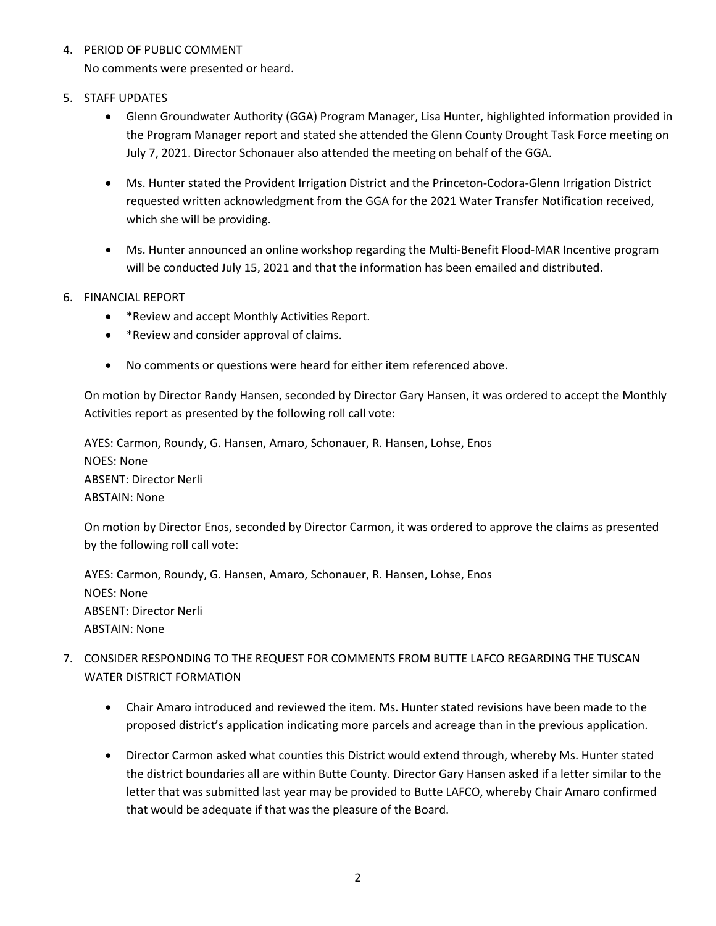# 4. PERIOD OF PUBLIC COMMENT

No comments were presented or heard.

# 5. STAFF UPDATES

- Glenn Groundwater Authority (GGA) Program Manager, Lisa Hunter, highlighted information provided in the Program Manager report and stated she attended the Glenn County Drought Task Force meeting on July 7, 2021. Director Schonauer also attended the meeting on behalf of the GGA.
- Ms. Hunter stated the Provident Irrigation District and the Princeton-Codora-Glenn Irrigation District requested written acknowledgment from the GGA for the 2021 Water Transfer Notification received, which she will be providing.
- Ms. Hunter announced an online workshop regarding the Multi-Benefit Flood-MAR Incentive program will be conducted July 15, 2021 and that the information has been emailed and distributed.

# 6. FINANCIAL REPORT

- \*Review and accept Monthly Activities Report.
- \*Review and consider approval of claims.
- No comments or questions were heard for either item referenced above.

On motion by Director Randy Hansen, seconded by Director Gary Hansen, it was ordered to accept the Monthly Activities report as presented by the following roll call vote:

AYES: Carmon, Roundy, G. Hansen, Amaro, Schonauer, R. Hansen, Lohse, Enos NOES: None ABSENT: Director Nerli ABSTAIN: None

On motion by Director Enos, seconded by Director Carmon, it was ordered to approve the claims as presented by the following roll call vote:

AYES: Carmon, Roundy, G. Hansen, Amaro, Schonauer, R. Hansen, Lohse, Enos NOES: None ABSENT: Director Nerli ABSTAIN: None

- 7. CONSIDER RESPONDING TO THE REQUEST FOR COMMENTS FROM BUTTE LAFCO REGARDING THE TUSCAN WATER DISTRICT FORMATION
	- Chair Amaro introduced and reviewed the item. Ms. Hunter stated revisions have been made to the proposed district's application indicating more parcels and acreage than in the previous application.
	- Director Carmon asked what counties this District would extend through, whereby Ms. Hunter stated the district boundaries all are within Butte County. Director Gary Hansen asked if a letter similar to the letter that was submitted last year may be provided to Butte LAFCO, whereby Chair Amaro confirmed that would be adequate if that was the pleasure of the Board.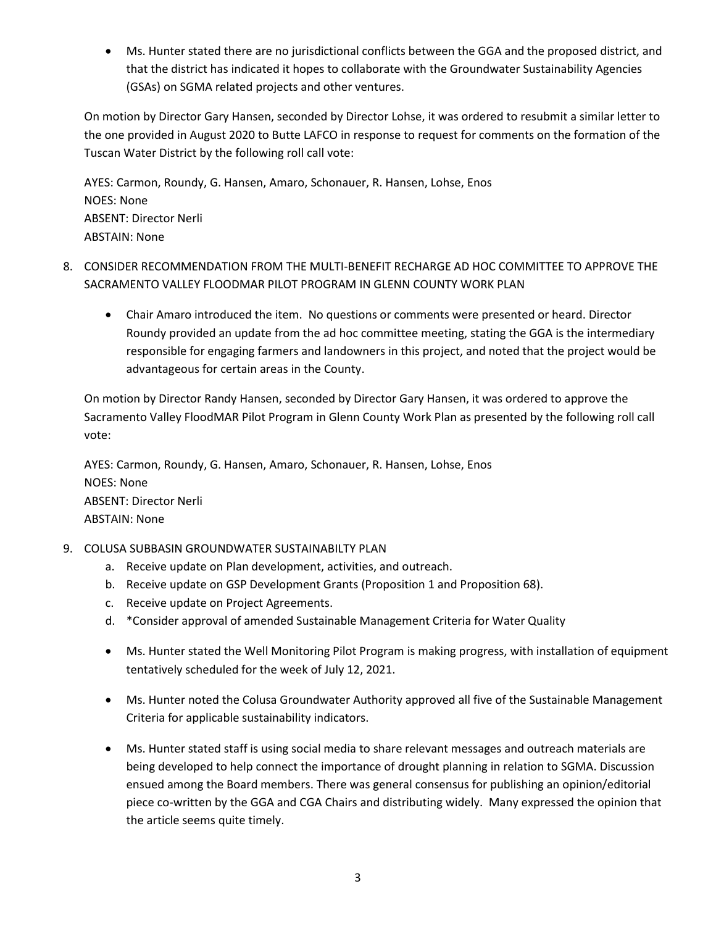• Ms. Hunter stated there are no jurisdictional conflicts between the GGA and the proposed district, and that the district has indicated it hopes to collaborate with the Groundwater Sustainability Agencies (GSAs) on SGMA related projects and other ventures.

On motion by Director Gary Hansen, seconded by Director Lohse, it was ordered to resubmit a similar letter to the one provided in August 2020 to Butte LAFCO in response to request for comments on the formation of the Tuscan Water District by the following roll call vote:

AYES: Carmon, Roundy, G. Hansen, Amaro, Schonauer, R. Hansen, Lohse, Enos NOES: None ABSENT: Director Nerli ABSTAIN: None

- 8. CONSIDER RECOMMENDATION FROM THE MULTI-BENEFIT RECHARGE AD HOC COMMITTEE TO APPROVE THE SACRAMENTO VALLEY FLOODMAR PILOT PROGRAM IN GLENN COUNTY WORK PLAN
	- Chair Amaro introduced the item. No questions or comments were presented or heard. Director Roundy provided an update from the ad hoc committee meeting, stating the GGA is the intermediary responsible for engaging farmers and landowners in this project, and noted that the project would be advantageous for certain areas in the County.

On motion by Director Randy Hansen, seconded by Director Gary Hansen, it was ordered to approve the Sacramento Valley FloodMAR Pilot Program in Glenn County Work Plan as presented by the following roll call vote:

AYES: Carmon, Roundy, G. Hansen, Amaro, Schonauer, R. Hansen, Lohse, Enos NOES: None ABSENT: Director Nerli ABSTAIN: None

# 9. COLUSA SUBBASIN GROUNDWATER SUSTAINABILTY PLAN

- a. Receive update on Plan development, activities, and outreach.
- b. Receive update on GSP Development Grants (Proposition 1 and Proposition 68).
- c. Receive update on Project Agreements.
- d. \*Consider approval of amended Sustainable Management Criteria for Water Quality
- Ms. Hunter stated the Well Monitoring Pilot Program is making progress, with installation of equipment tentatively scheduled for the week of July 12, 2021.
- Ms. Hunter noted the Colusa Groundwater Authority approved all five of the Sustainable Management Criteria for applicable sustainability indicators.
- Ms. Hunter stated staff is using social media to share relevant messages and outreach materials are being developed to help connect the importance of drought planning in relation to SGMA. Discussion ensued among the Board members. There was general consensus for publishing an opinion/editorial piece co-written by the GGA and CGA Chairs and distributing widely. Many expressed the opinion that the article seems quite timely.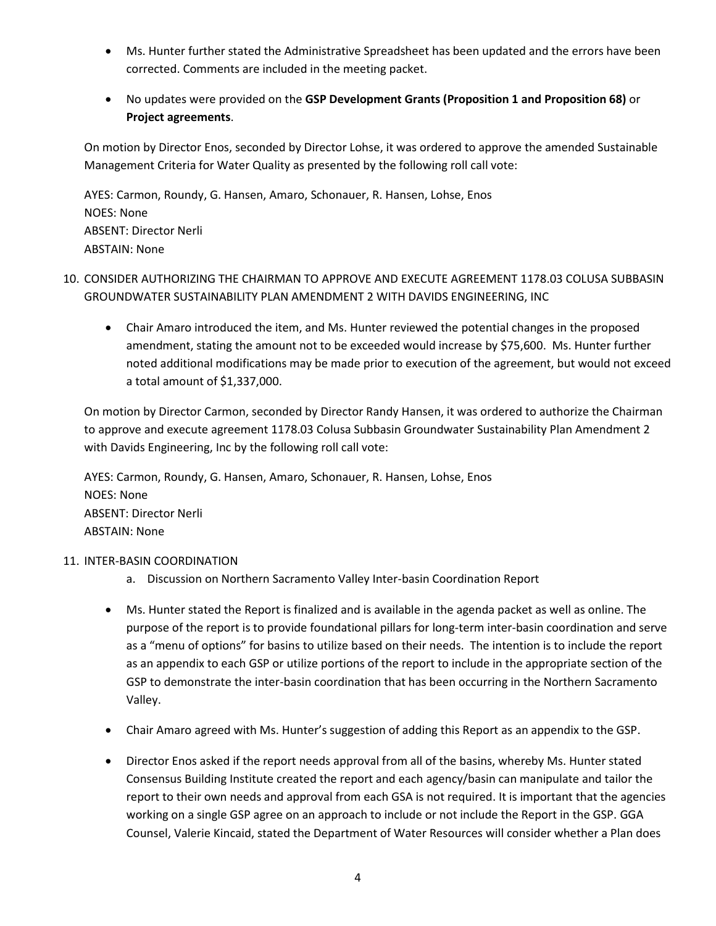- Ms. Hunter further stated the Administrative Spreadsheet has been updated and the errors have been corrected. Comments are included in the meeting packet.
- No updates were provided on the **GSP Development Grants (Proposition 1 and Proposition 68)** or **Project agreements**.

On motion by Director Enos, seconded by Director Lohse, it was ordered to approve the amended Sustainable Management Criteria for Water Quality as presented by the following roll call vote:

AYES: Carmon, Roundy, G. Hansen, Amaro, Schonauer, R. Hansen, Lohse, Enos NOES: None ABSENT: Director Nerli ABSTAIN: None

- 10. CONSIDER AUTHORIZING THE CHAIRMAN TO APPROVE AND EXECUTE AGREEMENT 1178.03 COLUSA SUBBASIN GROUNDWATER SUSTAINABILITY PLAN AMENDMENT 2 WITH DAVIDS ENGINEERING, INC
	- Chair Amaro introduced the item, and Ms. Hunter reviewed the potential changes in the proposed amendment, stating the amount not to be exceeded would increase by \$75,600. Ms. Hunter further noted additional modifications may be made prior to execution of the agreement, but would not exceed a total amount of \$1,337,000.

On motion by Director Carmon, seconded by Director Randy Hansen, it was ordered to authorize the Chairman to approve and execute agreement 1178.03 Colusa Subbasin Groundwater Sustainability Plan Amendment 2 with Davids Engineering, Inc by the following roll call vote:

AYES: Carmon, Roundy, G. Hansen, Amaro, Schonauer, R. Hansen, Lohse, Enos NOES: None ABSENT: Director Nerli ABSTAIN: None

#### 11. INTER-BASIN COORDINATION

- a. Discussion on Northern Sacramento Valley Inter-basin Coordination Report
- Ms. Hunter stated the Report is finalized and is available in the agenda packet as well as online. The purpose of the report is to provide foundational pillars for long-term inter-basin coordination and serve as a "menu of options" for basins to utilize based on their needs. The intention is to include the report as an appendix to each GSP or utilize portions of the report to include in the appropriate section of the GSP to demonstrate the inter-basin coordination that has been occurring in the Northern Sacramento Valley.
- Chair Amaro agreed with Ms. Hunter's suggestion of adding this Report as an appendix to the GSP.
- Director Enos asked if the report needs approval from all of the basins, whereby Ms. Hunter stated Consensus Building Institute created the report and each agency/basin can manipulate and tailor the report to their own needs and approval from each GSA is not required. It is important that the agencies working on a single GSP agree on an approach to include or not include the Report in the GSP. GGA Counsel, Valerie Kincaid, stated the Department of Water Resources will consider whether a Plan does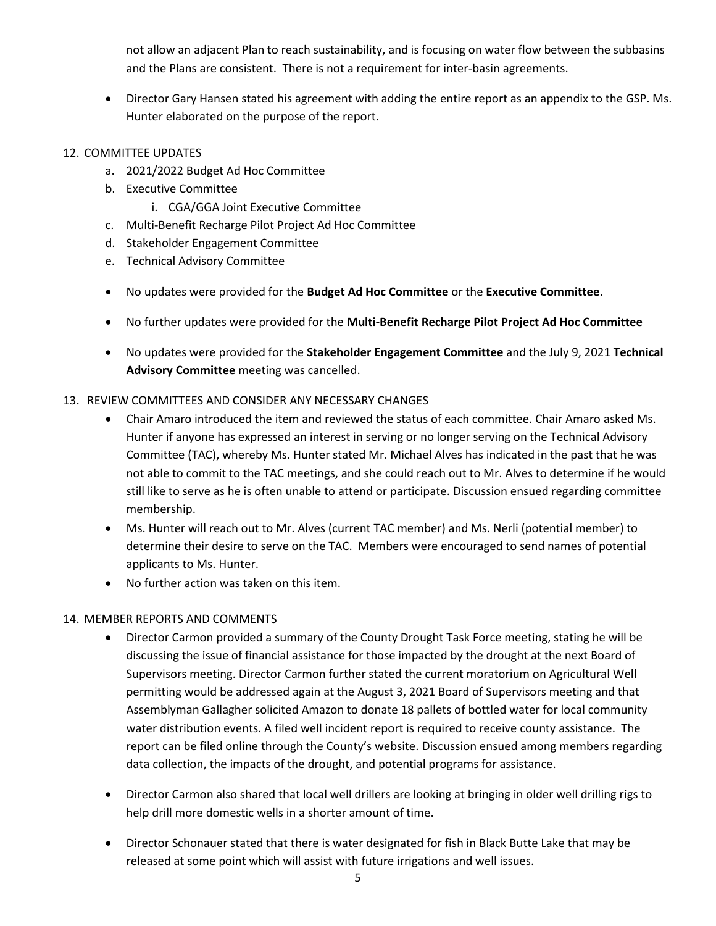not allow an adjacent Plan to reach sustainability, and is focusing on water flow between the subbasins and the Plans are consistent. There is not a requirement for inter-basin agreements.

• Director Gary Hansen stated his agreement with adding the entire report as an appendix to the GSP. Ms. Hunter elaborated on the purpose of the report.

# 12. COMMITTEE UPDATES

- a. 2021/2022 Budget Ad Hoc Committee
- b. Executive Committee
	- i. CGA/GGA Joint Executive Committee
- c. Multi-Benefit Recharge Pilot Project Ad Hoc Committee
- d. Stakeholder Engagement Committee
- e. Technical Advisory Committee
- No updates were provided for the **Budget Ad Hoc Committee** or the **Executive Committee**.
- No further updates were provided for the **Multi-Benefit Recharge Pilot Project Ad Hoc Committee**
- No updates were provided for the **Stakeholder Engagement Committee** and the July 9, 2021 **Technical Advisory Committee** meeting was cancelled.

#### 13. REVIEW COMMITTEES AND CONSIDER ANY NECESSARY CHANGES

- Chair Amaro introduced the item and reviewed the status of each committee. Chair Amaro asked Ms. Hunter if anyone has expressed an interest in serving or no longer serving on the Technical Advisory Committee (TAC), whereby Ms. Hunter stated Mr. Michael Alves has indicated in the past that he was not able to commit to the TAC meetings, and she could reach out to Mr. Alves to determine if he would still like to serve as he is often unable to attend or participate. Discussion ensued regarding committee membership.
- Ms. Hunter will reach out to Mr. Alves (current TAC member) and Ms. Nerli (potential member) to determine their desire to serve on the TAC. Members were encouraged to send names of potential applicants to Ms. Hunter.
- No further action was taken on this item.

#### 14. MEMBER REPORTS AND COMMENTS

- Director Carmon provided a summary of the County Drought Task Force meeting, stating he will be discussing the issue of financial assistance for those impacted by the drought at the next Board of Supervisors meeting. Director Carmon further stated the current moratorium on Agricultural Well permitting would be addressed again at the August 3, 2021 Board of Supervisors meeting and that Assemblyman Gallagher solicited Amazon to donate 18 pallets of bottled water for local community water distribution events. A filed well incident report is required to receive county assistance. The report can be filed online through the County's website. Discussion ensued among members regarding data collection, the impacts of the drought, and potential programs for assistance.
- Director Carmon also shared that local well drillers are looking at bringing in older well drilling rigs to help drill more domestic wells in a shorter amount of time.
- Director Schonauer stated that there is water designated for fish in Black Butte Lake that may be released at some point which will assist with future irrigations and well issues.